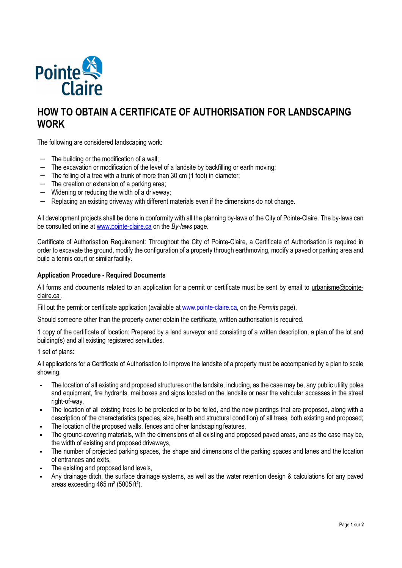

# **HOW TO OBTAIN A CERTIFICATE OF AUTHORISATION FOR LANDSCAPING WORK**

The following are considered landscaping work:

- − The building or the modification of a wall;
- − The excavation or modification of the level of a landsite by backfilling or earth moving;
- − The felling of a tree with a trunk of more than 30 cm (1 foot) in diameter;
- − The creation or extension of a parking area;
- − Widening or reducing the width of a driveway;
- − Replacing an existing driveway with different materials even if the dimensions do not change.

All development projects shall be done in conformity with all the planning by-laws of the City of Pointe-Claire. The by-laws can be consulted online at www.pointe-claire.ca on the *By-laws* page.

Certificate of Authorisation Requirement: Throughout the City of Pointe-Claire, a Certificate of Authorisation is required in order to excavate the ground, modify the configuration of a property through earthmoving, modify a paved or parking area and build a tennis court or similar facility.

#### **Application Procedure - Required Documents**

All forms and documents related to an application for a permit or certificate must be sent by email to urbanisme@pointeclaire.ca .

Fill out the permit or certificate application (available at www.pointe-claire.ca, on the *Permits* page).

Should someone other than the property owner obtain the certificate, written authorisation is required.

1 copy of the certificate of location: Prepared by a land surveyor and consisting of a written description, a plan of the lot and building(s) and all existing registered servitudes.

1 set of plans:

All applications for a Certificate of Authorisation to improve the landsite of a property must be accompanied by a plan to scale showing:

- The location of all existing and proposed structures on the landsite, including, as the case may be, any public utility poles and equipment, fire hydrants, mailboxes and signs located on the landsite or near the vehicular accesses in the street right-of-way,
- The location of all existing trees to be protected or to be felled, and the new plantings that are proposed, along with a description of the characteristics (species, size, health and structural condition) of all trees, both existing and proposed;
- The location of the proposed walls, fences and other landscaping features,
- The ground-covering materials, with the dimensions of all existing and proposed paved areas, and as the case may be, the width of existing and proposed driveways,
- The number of projected parking spaces, the shape and dimensions of the parking spaces and lanes and the location of entrances and exits,
- The existing and proposed land levels,
- Any drainage ditch, the surface drainage systems, as well as the water retention design & calculations for any paved areas exceeding 465 m² (5005 ft²).